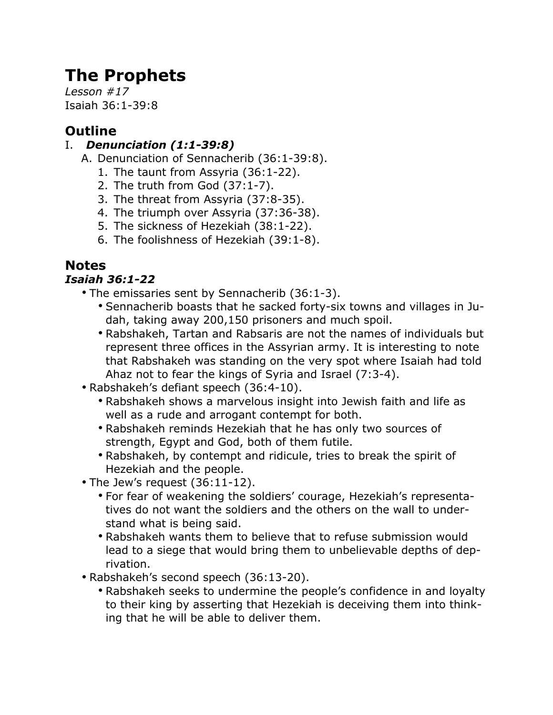# **The Prophets**

*Lesson #17* Isaiah 36:1-39:8

# **Outline**

### I. *Denunciation (1:1-39:8)*

- A. Denunciation of Sennacherib (36:1-39:8).
	- 1. The taunt from Assyria (36:1-22).
	- 2. The truth from God (37:1-7).
	- 3. The threat from Assyria (37:8-35).
	- 4. The triumph over Assyria (37:36-38).
	- 5. The sickness of Hezekiah (38:1-22).
	- 6. The foolishness of Hezekiah (39:1-8).

# **Notes**

# *Isaiah 36:1-22*

- The emissaries sent by Sennacherib (36:1-3).
	- Sennacherib boasts that he sacked forty-six towns and villages in Judah, taking away 200,150 prisoners and much spoil.
	- Rabshakeh, Tartan and Rabsaris are not the names of individuals but represent three offices in the Assyrian army. It is interesting to note that Rabshakeh was standing on the very spot where Isaiah had told Ahaz not to fear the kings of Syria and Israel (7:3-4).
- Rabshakeh's defiant speech (36:4-10).
	- Rabshakeh shows a marvelous insight into Jewish faith and life as well as a rude and arrogant contempt for both.
	- Rabshakeh reminds Hezekiah that he has only two sources of strength, Egypt and God, both of them futile.
	- Rabshakeh, by contempt and ridicule, tries to break the spirit of Hezekiah and the people.
- The Jew's request (36:11-12).
	- For fear of weakening the soldiers' courage, Hezekiah's representatives do not want the soldiers and the others on the wall to understand what is being said.
	- Rabshakeh wants them to believe that to refuse submission would lead to a siege that would bring them to unbelievable depths of deprivation.
- Rabshakeh's second speech (36:13-20).
	- Rabshakeh seeks to undermine the people's confidence in and loyalty to their king by asserting that Hezekiah is deceiving them into thinking that he will be able to deliver them.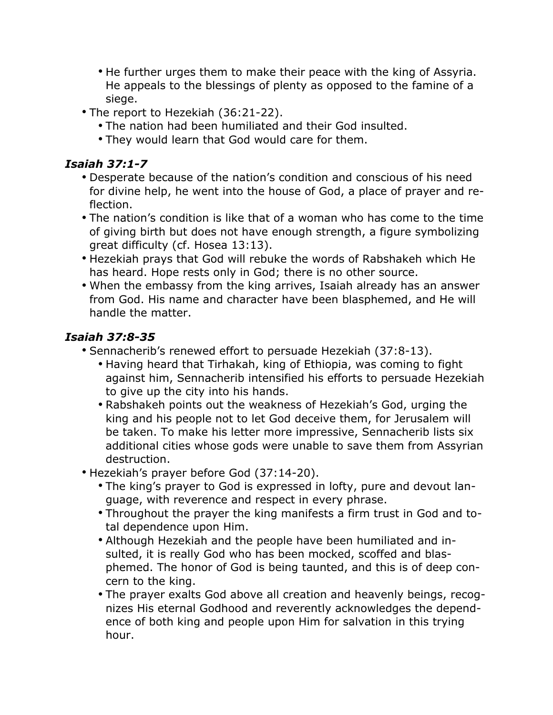- He further urges them to make their peace with the king of Assyria. He appeals to the blessings of plenty as opposed to the famine of a siege.
- The report to Hezekiah (36:21-22).
	- The nation had been humiliated and their God insulted.
	- They would learn that God would care for them.

#### *Isaiah 37:1-7*

- Desperate because of the nation's condition and conscious of his need for divine help, he went into the house of God, a place of prayer and reflection.
- The nation's condition is like that of a woman who has come to the time of giving birth but does not have enough strength, a figure symbolizing great difficulty (cf. Hosea 13:13).
- Hezekiah prays that God will rebuke the words of Rabshakeh which He has heard. Hope rests only in God; there is no other source.
- When the embassy from the king arrives, Isaiah already has an answer from God. His name and character have been blasphemed, and He will handle the matter.

### *Isaiah 37:8-35*

- Sennacherib's renewed effort to persuade Hezekiah (37:8-13).
	- Having heard that Tirhakah, king of Ethiopia, was coming to fight against him, Sennacherib intensified his efforts to persuade Hezekiah to give up the city into his hands.
	- Rabshakeh points out the weakness of Hezekiah's God, urging the king and his people not to let God deceive them, for Jerusalem will be taken. To make his letter more impressive, Sennacherib lists six additional cities whose gods were unable to save them from Assyrian destruction.
- Hezekiah's prayer before God (37:14-20).
	- The king's prayer to God is expressed in lofty, pure and devout language, with reverence and respect in every phrase.
	- Throughout the prayer the king manifests a firm trust in God and total dependence upon Him.
	- Although Hezekiah and the people have been humiliated and insulted, it is really God who has been mocked, scoffed and blasphemed. The honor of God is being taunted, and this is of deep concern to the king.
	- The prayer exalts God above all creation and heavenly beings, recognizes His eternal Godhood and reverently acknowledges the dependence of both king and people upon Him for salvation in this trying hour.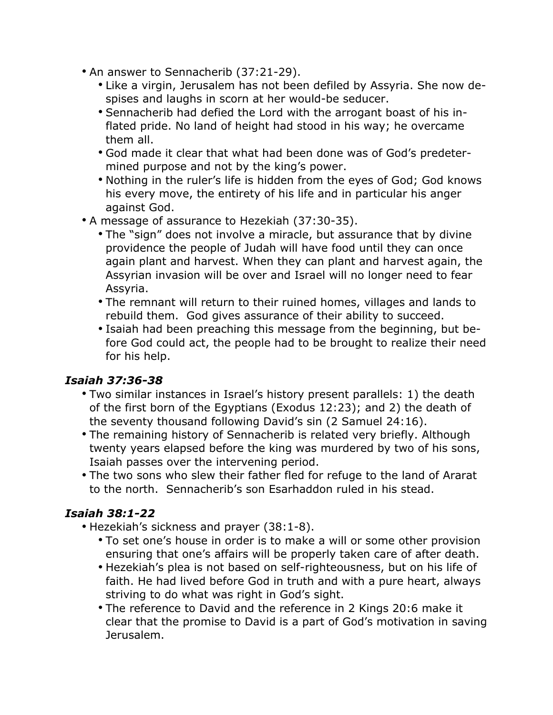- An answer to Sennacherib (37:21-29).
	- Like a virgin, Jerusalem has not been defiled by Assyria. She now despises and laughs in scorn at her would-be seducer.
	- Sennacherib had defied the Lord with the arrogant boast of his inflated pride. No land of height had stood in his way; he overcame them all.
	- God made it clear that what had been done was of God's predetermined purpose and not by the king's power.
	- Nothing in the ruler's life is hidden from the eyes of God; God knows his every move, the entirety of his life and in particular his anger against God.
- A message of assurance to Hezekiah (37:30-35).
	- The "sign" does not involve a miracle, but assurance that by divine providence the people of Judah will have food until they can once again plant and harvest. When they can plant and harvest again, the Assyrian invasion will be over and Israel will no longer need to fear Assyria.
	- The remnant will return to their ruined homes, villages and lands to rebuild them. God gives assurance of their ability to succeed.
	- Isaiah had been preaching this message from the beginning, but before God could act, the people had to be brought to realize their need for his help.

#### *Isaiah 37:36-38*

- Two similar instances in Israel's history present parallels: 1) the death of the first born of the Egyptians (Exodus 12:23); and 2) the death of the seventy thousand following David's sin (2 Samuel 24:16).
- The remaining history of Sennacherib is related very briefly. Although twenty years elapsed before the king was murdered by two of his sons, Isaiah passes over the intervening period.
- The two sons who slew their father fled for refuge to the land of Ararat to the north. Sennacherib's son Esarhaddon ruled in his stead.

#### *Isaiah 38:1-22*

- Hezekiah's sickness and prayer (38:1-8).
	- To set one's house in order is to make a will or some other provision ensuring that one's affairs will be properly taken care of after death.
	- Hezekiah's plea is not based on self-righteousness, but on his life of faith. He had lived before God in truth and with a pure heart, always striving to do what was right in God's sight.
	- The reference to David and the reference in 2 Kings 20:6 make it clear that the promise to David is a part of God's motivation in saving Jerusalem.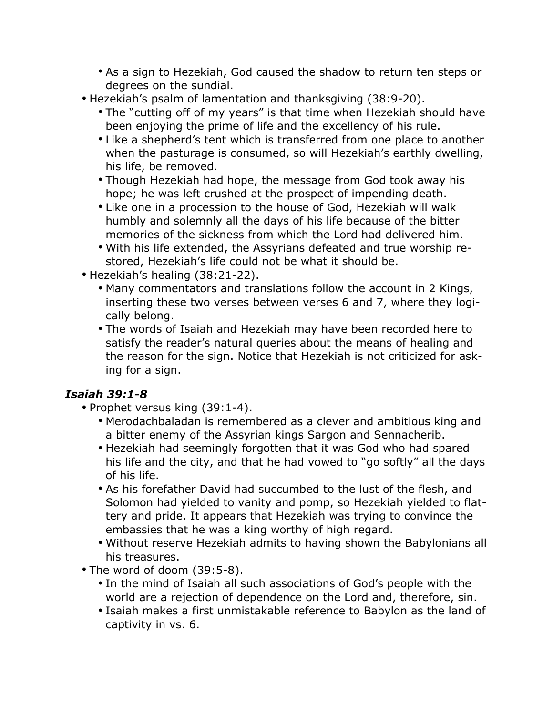- As a sign to Hezekiah, God caused the shadow to return ten steps or degrees on the sundial.
- Hezekiah's psalm of lamentation and thanksgiving (38:9-20).
	- The "cutting off of my years" is that time when Hezekiah should have been enjoying the prime of life and the excellency of his rule.
	- Like a shepherd's tent which is transferred from one place to another when the pasturage is consumed, so will Hezekiah's earthly dwelling, his life, be removed.
	- Though Hezekiah had hope, the message from God took away his hope; he was left crushed at the prospect of impending death.
	- Like one in a procession to the house of God, Hezekiah will walk humbly and solemnly all the days of his life because of the bitter memories of the sickness from which the Lord had delivered him.
	- With his life extended, the Assyrians defeated and true worship restored, Hezekiah's life could not be what it should be.
- Hezekiah's healing (38:21-22).
	- Many commentators and translations follow the account in 2 Kings, inserting these two verses between verses 6 and 7, where they logically belong.
	- The words of Isaiah and Hezekiah may have been recorded here to satisfy the reader's natural queries about the means of healing and the reason for the sign. Notice that Hezekiah is not criticized for asking for a sign.

# *Isaiah 39:1-8*

- Prophet versus king (39:1-4).
	- Merodachbaladan is remembered as a clever and ambitious king and a bitter enemy of the Assyrian kings Sargon and Sennacherib.
	- Hezekiah had seemingly forgotten that it was God who had spared his life and the city, and that he had vowed to "go softly" all the days of his life.
	- As his forefather David had succumbed to the lust of the flesh, and Solomon had yielded to vanity and pomp, so Hezekiah yielded to flattery and pride. It appears that Hezekiah was trying to convince the embassies that he was a king worthy of high regard.
	- Without reserve Hezekiah admits to having shown the Babylonians all his treasures.
- The word of doom (39:5-8).
	- In the mind of Isaiah all such associations of God's people with the world are a rejection of dependence on the Lord and, therefore, sin.
	- Isaiah makes a first unmistakable reference to Babylon as the land of captivity in vs. 6.